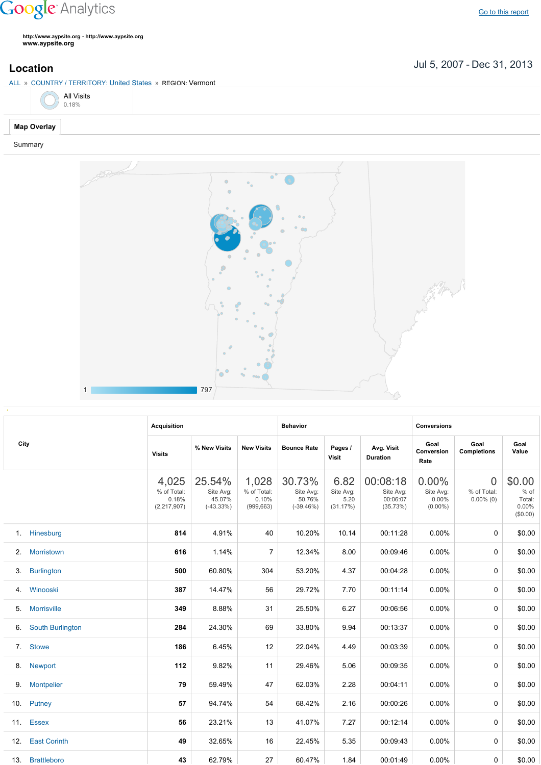## **Google** Analytics

**http://www.aypsite.org http://www.aypsite.org www.aypsite.org**

Jul 5, 2007 Dec 31, 2013 **Location**





|      |                         | <b>Acquisition</b>                           |                                              |                                             | <b>Behavior</b>                              |                                       |                                               | <b>Conversions</b>                        |                                               |                                                 |
|------|-------------------------|----------------------------------------------|----------------------------------------------|---------------------------------------------|----------------------------------------------|---------------------------------------|-----------------------------------------------|-------------------------------------------|-----------------------------------------------|-------------------------------------------------|
| City |                         | <b>Visits</b>                                | % New Visits                                 | <b>New Visits</b>                           | <b>Bounce Rate</b>                           | Pages /<br>Visit                      | Avg. Visit<br><b>Duration</b>                 | Goal<br>Conversion<br>Rate                | Goal<br><b>Completions</b>                    | Goal<br>Value                                   |
|      |                         | 4,025<br>% of Total:<br>0.18%<br>(2,217,907) | 25.54%<br>Site Avg:<br>45.07%<br>$(-43.33%)$ | 1,028<br>% of Total:<br>0.10%<br>(999, 663) | 30.73%<br>Site Avg:<br>50.76%<br>$(-39.46%)$ | 6.82<br>Site Avg:<br>5.20<br>(31.17%) | 00:08:18<br>Site Avg:<br>00:06:07<br>(35.73%) | 0.00%<br>Site Avg:<br>0.00%<br>$(0.00\%)$ | $\overline{0}$<br>% of Total:<br>$0.00\%$ (0) | \$0.00<br>$%$ of<br>Total:<br>0.00%<br>(\$0.00) |
|      | 1. Hinesburg            | 814                                          | 4.91%                                        | 40                                          | 10.20%                                       | 10.14                                 | 00:11:28                                      | 0.00%                                     | 0                                             | \$0.00                                          |
| 2.   | Morristown              | 616                                          | 1.14%                                        | $\overline{7}$                              | 12.34%                                       | 8.00                                  | 00:09:46                                      | 0.00%                                     | 0                                             | \$0.00                                          |
| 3.   | <b>Burlington</b>       | 500                                          | 60.80%                                       | 304                                         | 53.20%                                       | 4.37                                  | 00:04:28                                      | 0.00%                                     | 0                                             | \$0.00                                          |
| 4.   | Winooski                | 387                                          | 14.47%                                       | 56                                          | 29.72%                                       | 7.70                                  | 00:11:14                                      | 0.00%                                     | 0                                             | \$0.00                                          |
| 5.   | <b>Morrisville</b>      | 349                                          | 8.88%                                        | 31                                          | 25.50%                                       | 6.27                                  | 00:06:56                                      | 0.00%                                     | 0                                             | \$0.00                                          |
| 6.   | <b>South Burlington</b> | 284                                          | 24.30%                                       | 69                                          | 33.80%                                       | 9.94                                  | 00:13:37                                      | $0.00\%$                                  | 0                                             | \$0.00                                          |
|      | 7. Stowe                | 186                                          | 6.45%                                        | 12                                          | 22.04%                                       | 4.49                                  | 00:03:39                                      | 0.00%                                     | 0                                             | \$0.00                                          |
|      | 8. Newport              | 112                                          | 9.82%                                        | 11                                          | 29.46%                                       | 5.06                                  | 00:09:35                                      | 0.00%                                     | 0                                             | \$0.00                                          |
| 9.   | <b>Montpelier</b>       | 79                                           | 59.49%                                       | 47                                          | 62.03%                                       | 2.28                                  | 00:04:11                                      | 0.00%                                     | 0                                             | \$0.00                                          |
|      | 10. Putney              | 57                                           | 94.74%                                       | 54                                          | 68.42%                                       | 2.16                                  | 00:00:26                                      | 0.00%                                     | 0                                             | \$0.00                                          |
|      | 11. Essex               | 56                                           | 23.21%                                       | 13                                          | 41.07%                                       | 7.27                                  | 00:12:14                                      | 0.00%                                     | 0                                             | \$0.00                                          |
|      | 12. East Corinth        | 49                                           | 32.65%                                       | 16                                          | 22.45%                                       | 5.35                                  | 00:09:43                                      | 0.00%                                     | 0                                             | \$0.00                                          |
|      | 13. Brattleboro         | 43                                           | 62.79%                                       | 27                                          | 60.47%                                       | 1.84                                  | 00:01:49                                      | $0.00\%$                                  | 0                                             | \$0.00                                          |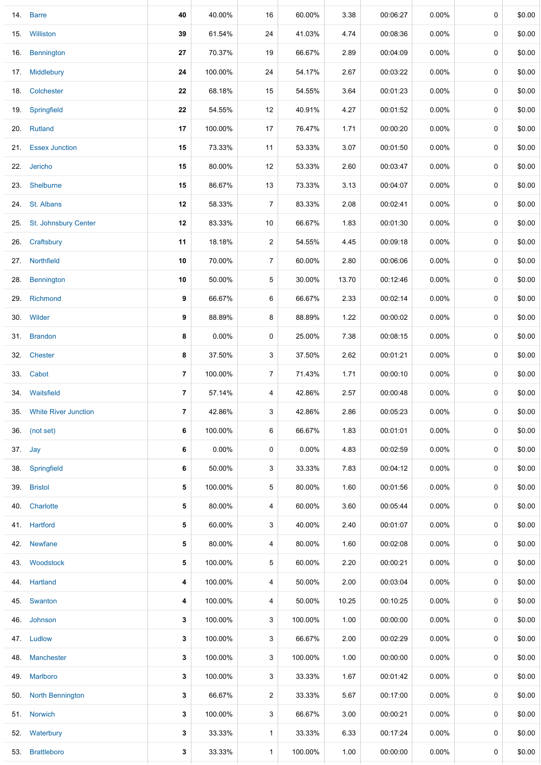|     | 14. Barre                | 40             | 40.00%  | 16             | 60.00%   | 3.38  | 00:06:27 | 0.00%    | 0 | \$0.00 |
|-----|--------------------------|----------------|---------|----------------|----------|-------|----------|----------|---|--------|
|     | 15. Williston            | 39             | 61.54%  | 24             | 41.03%   | 4.74  | 00:08:36 | $0.00\%$ | 0 | \$0.00 |
| 16. | Bennington               | 27             | 70.37%  | 19             | 66.67%   | 2.89  | 00:04:09 | $0.00\%$ | 0 | \$0.00 |
|     | 17. Middlebury           | 24             | 100.00% | 24             | 54.17%   | 2.67  | 00:03:22 | $0.00\%$ | 0 | \$0.00 |
|     | 18. Colchester           | 22             | 68.18%  | 15             | 54.55%   | 3.64  | 00:01:23 | $0.00\%$ | 0 | \$0.00 |
| 19. | Springfield              | 22             | 54.55%  | 12             | 40.91%   | 4.27  | 00:01:52 | $0.00\%$ | 0 | \$0.00 |
|     | 20. Rutland              | 17             | 100.00% | 17             | 76.47%   | 1.71  | 00:00:20 | $0.00\%$ | 0 | \$0.00 |
|     | 21. Essex Junction       | 15             | 73.33%  | 11             | 53.33%   | 3.07  | 00:01:50 | $0.00\%$ | 0 | \$0.00 |
|     | 22. Jericho              | 15             | 80.00%  | 12             | 53.33%   | 2.60  | 00:03:47 | $0.00\%$ | 0 | \$0.00 |
| 23. | Shelburne                | 15             | 86.67%  | 13             | 73.33%   | 3.13  | 00:04:07 | $0.00\%$ | 0 | \$0.00 |
|     | 24. St. Albans           | 12             | 58.33%  | 7              | 83.33%   | 2.08  | 00:02:41 | $0.00\%$ | 0 | \$0.00 |
| 25. | St. Johnsbury Center     | $12\,$         | 83.33%  | 10             | 66.67%   | 1.83  | 00:01:30 | $0.00\%$ | 0 | \$0.00 |
| 26. | Craftsbury               | 11             | 18.18%  | 2              | 54.55%   | 4.45  | 00:09:18 | $0.00\%$ | 0 | \$0.00 |
|     | 27. Northfield           | 10             | 70.00%  | $\overline{7}$ | 60.00%   | 2.80  | 00:06:06 | $0.00\%$ | 0 | \$0.00 |
| 28. | Bennington               | 10             | 50.00%  | 5              | 30.00%   | 13.70 | 00:12:46 | $0.00\%$ | 0 | \$0.00 |
| 29. | Richmond                 | 9              | 66.67%  | 6              | 66.67%   | 2.33  | 00:02:14 | $0.00\%$ | 0 | \$0.00 |
|     | 30. Wilder               | 9              | 88.89%  | 8              | 88.89%   | 1.22  | 00:00:02 | $0.00\%$ | 0 | \$0.00 |
|     | 31. Brandon              | 8              | 0.00%   | 0              | 25.00%   | 7.38  | 00:08:15 | $0.00\%$ | 0 | \$0.00 |
| 32. | <b>Chester</b>           | 8              | 37.50%  | 3              | 37.50%   | 2.62  | 00:01:21 | $0.00\%$ | 0 | \$0.00 |
|     | 33. Cabot                | $\overline{7}$ | 100.00% | 7              | 71.43%   | 1.71  | 00:00:10 | $0.00\%$ | 0 | \$0.00 |
|     | 34. Waitsfield           | $\overline{7}$ | 57.14%  | 4              | 42.86%   | 2.57  | 00:00:48 | $0.00\%$ | 0 | \$0.00 |
|     | 35. White River Junction | 7              | 42.86%  | 3              | 42.86%   | 2.86  | 00:05:23 | $0.00\%$ | 0 | \$0.00 |
|     | 36. (not set)            | 6              | 100.00% | 6              | 66.67%   | 1.83  | 00:01:01 | $0.00\%$ | 0 | \$0.00 |
|     | 37. Jay                  | 6              | 0.00%   | 0              | $0.00\%$ | 4.83  | 00:02:59 | $0.00\%$ | 0 | \$0.00 |
|     | 38. Springfield          | 6              | 50.00%  | 3              | 33.33%   | 7.83  | 00:04:12 | $0.00\%$ | 0 | \$0.00 |
|     | 39. Bristol              | 5              | 100.00% | 5              | 80.00%   | 1.60  | 00:01:56 | $0.00\%$ | 0 | \$0.00 |
| 40. | Charlotte                | 5              | 80.00%  | 4              | 60.00%   | 3.60  | 00:05:44 | $0.00\%$ | 0 | \$0.00 |
|     | 41. Hartford             | 5              | 60.00%  | 3              | 40.00%   | 2.40  | 00:01:07 | $0.00\%$ | 0 | \$0.00 |
|     | 42. Newfane              | 5              | 80.00%  | 4              | 80.00%   | 1.60  | 00:02:08 | $0.00\%$ | 0 | \$0.00 |
|     | 43. Woodstock            | 5              | 100.00% | 5              | 60.00%   | 2.20  | 00:00:21 | $0.00\%$ | 0 | \$0.00 |
| 44. | Hartland                 | 4              | 100.00% | 4              | 50.00%   | 2.00  | 00:03:04 | $0.00\%$ | 0 | \$0.00 |
|     | 45. Swanton              | 4              | 100.00% | 4              | 50.00%   | 10.25 | 00:10:25 | $0.00\%$ | 0 | \$0.00 |
|     | 46. Johnson              | 3              | 100.00% | 3              | 100.00%  | 1.00  | 00:00:00 | $0.00\%$ | 0 | \$0.00 |
|     | 47. Ludlow               | 3              | 100.00% | 3              | 66.67%   | 2.00  | 00:02:29 | $0.00\%$ | 0 | \$0.00 |
|     | 48. Manchester           | 3              | 100.00% | 3              | 100.00%  | 1.00  | 00:00:00 | $0.00\%$ | 0 | \$0.00 |
|     | 49. Marlboro             | 3              | 100.00% | 3              | 33.33%   | 1.67  | 00:01:42 | $0.00\%$ | 0 | \$0.00 |
|     | 50. North Bennington     | 3              | 66.67%  | 2              | 33.33%   | 5.67  | 00:17:00 | $0.00\%$ | 0 | \$0.00 |
|     | 51. Norwich              | 3              | 100.00% | 3              | 66.67%   | 3.00  | 00:00:21 | $0.00\%$ | 0 | \$0.00 |
|     | 52. Waterbury            | 3              | 33.33%  | $\mathbf{1}$   | 33.33%   | 6.33  | 00:17:24 | $0.00\%$ | 0 | \$0.00 |
| 53. | <b>Brattleboro</b>       | 3              | 33.33%  | $\mathbf{1}$   | 100.00%  | 1.00  | 00:00:00 | $0.00\%$ | 0 | \$0.00 |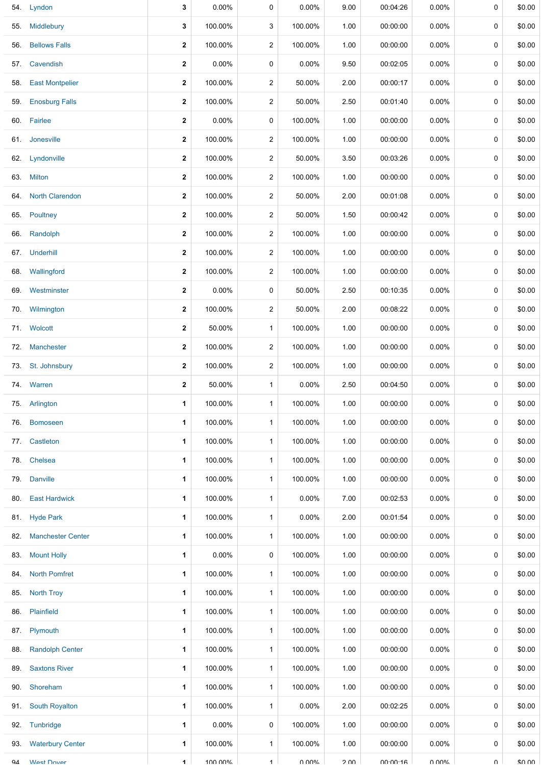|     | 54. Lyndon               | 3                | 0.00%    | 0                    | 0.00%   | 9.00  | 00:04:26 | 0.00%        | 0           | \$0.00       |
|-----|--------------------------|------------------|----------|----------------------|---------|-------|----------|--------------|-------------|--------------|
| 55. | Middlebury               | 3                | 100.00%  | 3                    | 100.00% | 1.00  | 00:00:00 | $0.00\%$     | 0           | \$0.00       |
| 56. | <b>Bellows Falls</b>     | 2                | 100.00%  | $\overline{c}$       | 100.00% | 1.00  | 00:00:00 | $0.00\%$     | 0           | \$0.00       |
| 57. | Cavendish                | $\mathbf{2}$     | 0.00%    | 0                    | 0.00%   | 9.50  | 00:02:05 | 0.00%        | 0           | \$0.00       |
| 58. | <b>East Montpelier</b>   | $\mathbf{2}$     | 100.00%  | $\overline{c}$       | 50.00%  | 2.00  | 00:00:17 | 0.00%        | 0           | \$0.00       |
| 59. | <b>Enosburg Falls</b>    | $\mathbf{2}$     | 100.00%  | $\overline{2}$       | 50.00%  | 2.50  | 00:01:40 | 0.00%        | 0           | \$0.00       |
|     | 60. Fairlee              | $\mathbf 2$      | 0.00%    | 0                    | 100.00% | 1.00  | 00:00:00 | 0.00%        | 0           | \$0.00       |
|     | 61. Jonesville           | $\mathbf 2$      | 100.00%  | $\overline{c}$       | 100.00% | 1.00  | 00:00:00 | 0.00%        | 0           | \$0.00       |
|     | 62. Lyndonville          | $\boldsymbol{2}$ | 100.00%  | $\overline{2}$       | 50.00%  | 3.50  | 00:03:26 | 0.00%        | 0           | \$0.00       |
|     | 63. Milton               | $\mathbf 2$      | 100.00%  | $\overline{c}$       | 100.00% | 1.00  | 00:00:00 | 0.00%        | 0           | \$0.00       |
|     | 64. North Clarendon      | $\boldsymbol{2}$ | 100.00%  | $\overline{2}$       | 50.00%  | 2.00  | 00:01:08 | 0.00%        | 0           | \$0.00       |
|     | 65. Poultney             | $\mathbf{2}$     | 100.00%  | $\overline{c}$       | 50.00%  | 1.50  | 00:00:42 | 0.00%        | 0           | \$0.00       |
| 66. | Randolph                 | $\mathbf{2}$     | 100.00%  | $\overline{c}$       | 100.00% | 1.00  | 00:00:00 | 0.00%        | 0           | \$0.00       |
|     | 67. Underhill            | $\mathbf{2}$     | 100.00%  | $\overline{c}$       | 100.00% | 1.00  | 00:00:00 | $0.00\%$     | 0           | \$0.00       |
| 68. | Wallingford              | $\mathbf{2}$     | 100.00%  | $\overline{2}$       | 100.00% | 1.00  | 00:00:00 | 0.00%        | 0           | \$0.00       |
|     | 69. Westminster          | $\mathbf{2}$     | $0.00\%$ | 0                    | 50.00%  | 2.50  | 00:10:35 | $0.00\%$     | 0           | \$0.00       |
| 70. | Wilmington               | $\mathbf{2}$     | 100.00%  | $\overline{2}$       | 50.00%  | 2.00  | 00:08:22 | $0.00\%$     | 0           | \$0.00       |
|     | 71. Wolcott              | 2                | 50.00%   | $\mathbf{1}$         | 100.00% | 1.00  | 00:00:00 | $0.00\%$     | 0           | \$0.00       |
| 72. | Manchester               | $\boldsymbol{2}$ | 100.00%  | $\overline{c}$       | 100.00% | 1.00  | 00:00:00 | 0.00%        | 0           | \$0.00       |
|     | 73. St. Johnsbury        | $\mathbf{2}$     | 100.00%  | $\overline{c}$       | 100.00% | 1.00  | 00:00:00 | 0.00%        | 0           | \$0.00       |
|     | 74. Warren               | $\mathbf{2}$     | 50.00%   | $\mathbf{1}$         | 0.00%   | 2.50  | 00:04:50 | 0.00%        | 0           | \$0.00       |
|     | 75. Arlington            | 1                | 100.00%  | $\mathbf{1}$         | 100.00% | 1.00  | 00:00:00 | 0.00%        | 0           | \$0.00       |
| 76. | <b>Bomoseen</b>          | 1                | 100.00%  | $\mathbf{1}$         | 100.00% | 1.00  | 00:00:00 | $0.00\%$     | $\mathbf 0$ | \$0.00       |
| 77. | Castleton                | 1                | 100.00%  | $\mathbf{1}$         | 100.00% | 1.00  | 00:00:00 | 0.00%        | 0           | \$0.00       |
| 78. | Chelsea                  | 1                | 100.00%  | $\mathbf{1}$         | 100.00% | 1.00  | 00:00:00 | 0.00%        | 0           | \$0.00       |
| 79. | <b>Danville</b>          | 1                | 100.00%  | $\mathbf{1}$         | 100.00% | 1.00  | 00:00:00 | 0.00%        | 0           | \$0.00       |
| 80. | <b>East Hardwick</b>     | 1                | 100.00%  | $\mathbf{1}$         | 0.00%   | 7.00  | 00:02:53 | 0.00%        | 0           | \$0.00       |
|     | 81. Hyde Park            | 1                | 100.00%  | $\mathbf{1}$         | 0.00%   | 2.00  | 00:01:54 | $0.00\%$     | 0           | \$0.00       |
| 82. | <b>Manchester Center</b> | 1                | 100.00%  | $\mathbf{1}$         | 100.00% | 1.00  | 00:00:00 | 0.00%        | 0           | \$0.00       |
| 83. | <b>Mount Holly</b>       | 1                | $0.00\%$ | 0                    | 100.00% | 1.00  | 00:00:00 | $0.00\%$     | 0           | \$0.00       |
|     | 84. North Pomfret        | 1                | 100.00%  | $\mathbf{1}$         | 100.00% | 1.00  | 00:00:00 | $0.00\%$     | 0           | \$0.00       |
| 85. | <b>North Troy</b>        | 1                | 100.00%  | $\mathbf{1}$         | 100.00% | 1.00  | 00:00:00 | $0.00\%$     | 0           | \$0.00       |
| 86. | Plainfield               | 1                | 100.00%  | $\mathbf{1}$         | 100.00% | 1.00  | 00:00:00 | 0.00%        | 0           | \$0.00       |
| 87. | Plymouth                 | 1                | 100.00%  | $\mathbf{1}$         | 100.00% | 1.00  | 00:00:00 | $0.00\%$     | 0           | \$0.00       |
| 88. | <b>Randolph Center</b>   | 1                | 100.00%  | $\mathbf{1}$         | 100.00% | 1.00  | 00:00:00 | 0.00%        | 0           | \$0.00       |
| 89. | <b>Saxtons River</b>     | 1                | 100.00%  | $\mathbf{1}$         | 100.00% | 1.00  | 00:00:00 | $0.00\%$     | $\mathbf 0$ | \$0.00       |
| 90. | Shoreham                 | 1                | 100.00%  | $\mathbf{1}$         | 100.00% | 1.00  | 00:00:00 | $0.00\%$     | 0           | \$0.00       |
| 91. | <b>South Royalton</b>    | 1                | 100.00%  | $\mathbf{1}$         | 0.00%   | 2.00  | 00:02:25 | $0.00\%$     | 0           | \$0.00       |
| 92. | Tunbridge                | 1                | 0.00%    | 0                    | 100.00% | 1.00  | 00:00:00 | 0.00%        | 0           | \$0.00       |
| 93. | <b>Waterbury Center</b>  | 1                | 100.00%  | $\mathbf{1}$         | 100.00% | 1.00  | 00:00:00 | $0.00\%$     | 0           | \$0.00       |
| Q4  | <b>West Dover</b>        | 1                | 100 00%  | $\blacktriangleleft$ | U UUN   | o v c | 00.00.16 | <b>U UUN</b> | $\cap$      | <b>MO 02</b> |